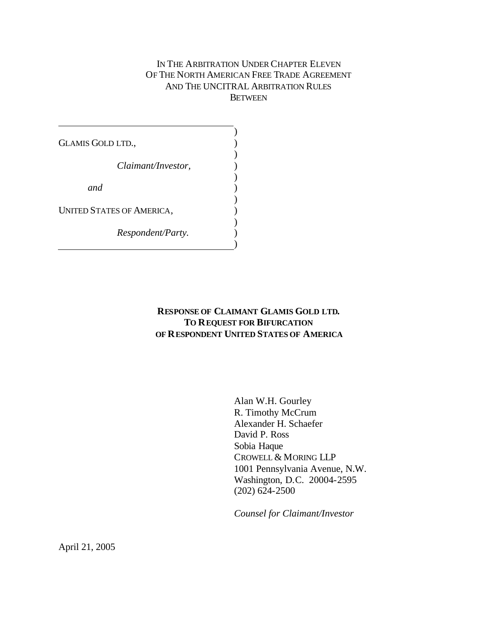### IN THE ARBITRATION UNDER CHAPTER ELEVEN OF THE NORTH AMERICAN FREE TRADE AGREEMENT AND THE UNCITRAL ARBITRATION RULES **BETWEEN**

GLAMIS GOLD LTD., *Claimant/Investor, and* UNITED STATES OF AMERICA, *Respondent/Party.* ) ) ) ) ) ) ) ) ) ) )

### **RESPONSE OF CLAIMANT GLAMIS GOLD LTD. TO REQUEST FOR BIFURCATION OF RESPONDENT UNITED STATES OF AMERICA**

Alan W.H. Gourley R. Timothy McCrum Alexander H. Schaefer David P. Ross Sobia Haque CROWELL & MORING LLP 1001 Pennsylvania Avenue, N.W. Washington, D.C. 20004-2595 (202) 624-2500

*Counsel for Claimant/Investor*

April 21, 2005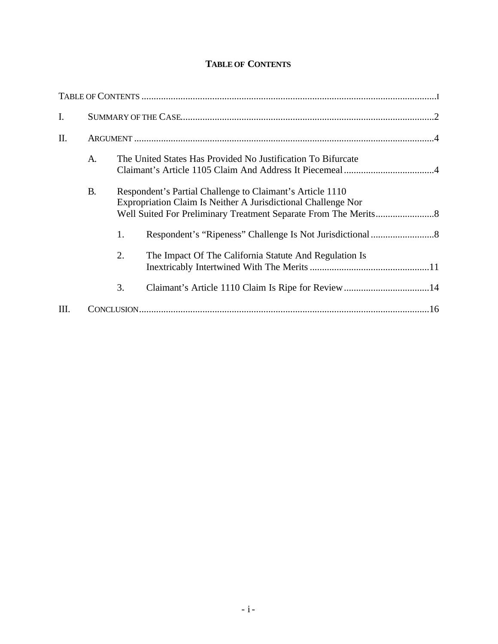# **TABLE OF CONTENTS**

| I. |                                                                    |                                                                                                                            |                                                        |  |
|----|--------------------------------------------------------------------|----------------------------------------------------------------------------------------------------------------------------|--------------------------------------------------------|--|
| Π. |                                                                    |                                                                                                                            |                                                        |  |
|    | The United States Has Provided No Justification To Bifurcate<br>A. |                                                                                                                            |                                                        |  |
|    | <b>B.</b>                                                          | Respondent's Partial Challenge to Claimant's Article 1110<br>Expropriation Claim Is Neither A Jurisdictional Challenge Nor |                                                        |  |
|    |                                                                    | 1.                                                                                                                         |                                                        |  |
|    |                                                                    | 2.                                                                                                                         | The Impact Of The California Statute And Regulation Is |  |
|    |                                                                    | 3.                                                                                                                         |                                                        |  |
| Ш. |                                                                    |                                                                                                                            |                                                        |  |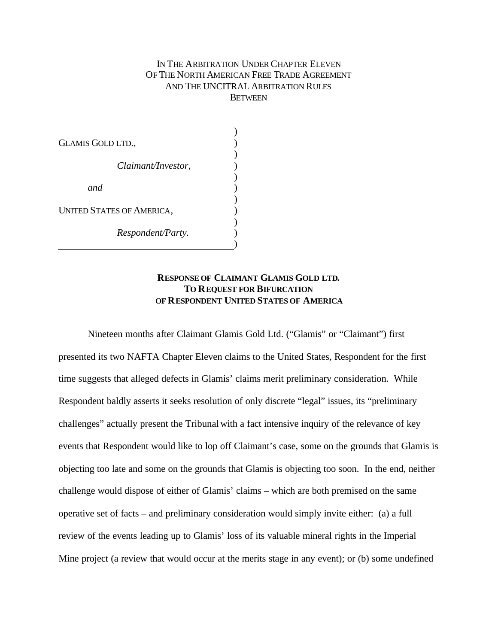#### IN THE ARBITRATION UNDER CHAPTER ELEVEN OF THE NORTH AMERICAN FREE TRADE AGREEMENT AND THE UNCITRAL ARBITRATION RULES **BETWEEN**

GLAMIS GOLD LTD., *Claimant/Investor, and* UNITED STATES OF AMERICA, *Respondent/Party.* ) ) ) ) ) ) ) ) ) ) )

#### **RESPONSE OF CLAIMANT GLAMIS GOLD LTD. TO REQUEST FOR BIFURCATION OF RESPONDENT UNITED STATES OF AMERICA**

Nineteen months after Claimant Glamis Gold Ltd. ("Glamis" or "Claimant") first presented its two NAFTA Chapter Eleven claims to the United States, Respondent for the first time suggests that alleged defects in Glamis' claims merit preliminary consideration. While Respondent baldly asserts it seeks resolution of only discrete "legal" issues, its "preliminary challenges" actually present the Tribunal with a fact intensive inquiry of the relevance of key events that Respondent would like to lop off Claimant's case, some on the grounds that Glamis is objecting too late and some on the grounds that Glamis is objecting too soon. In the end, neither challenge would dispose of either of Glamis' claims – which are both premised on the same operative set of facts – and preliminary consideration would simply invite either: (a) a full review of the events leading up to Glamis' loss of its valuable mineral rights in the Imperial Mine project (a review that would occur at the merits stage in any event); or (b) some undefined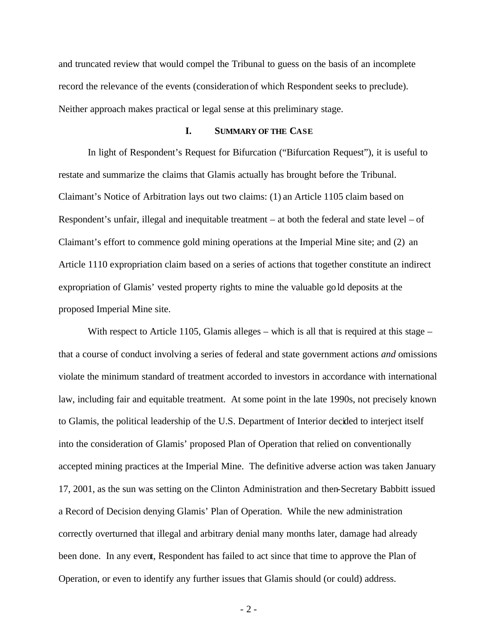and truncated review that would compel the Tribunal to guess on the basis of an incomplete record the relevance of the events (consideration of which Respondent seeks to preclude). Neither approach makes practical or legal sense at this preliminary stage.

#### **I. SUMMARY OF THE CASE**

In light of Respondent's Request for Bifurcation ("Bifurcation Request"), it is useful to restate and summarize the claims that Glamis actually has brought before the Tribunal. Claimant's Notice of Arbitration lays out two claims: (1) an Article 1105 claim based on Respondent's unfair, illegal and inequitable treatment – at both the federal and state level – of Claimant's effort to commence gold mining operations at the Imperial Mine site; and (2) an Article 1110 expropriation claim based on a series of actions that together constitute an indirect expropriation of Glamis' vested property rights to mine the valuable gold deposits at the proposed Imperial Mine site.

With respect to Article 1105, Glamis alleges – which is all that is required at this stage – that a course of conduct involving a series of federal and state government actions *and* omissions violate the minimum standard of treatment accorded to investors in accordance with international law, including fair and equitable treatment. At some point in the late 1990s, not precisely known to Glamis, the political leadership of the U.S. Department of Interior decided to interject itself into the consideration of Glamis' proposed Plan of Operation that relied on conventionally accepted mining practices at the Imperial Mine. The definitive adverse action was taken January 17, 2001, as the sun was setting on the Clinton Administration and then-Secretary Babbitt issued a Record of Decision denying Glamis' Plan of Operation. While the new administration correctly overturned that illegal and arbitrary denial many months later, damage had already been done. In any event, Respondent has failed to act since that time to approve the Plan of Operation, or even to identify any further issues that Glamis should (or could) address.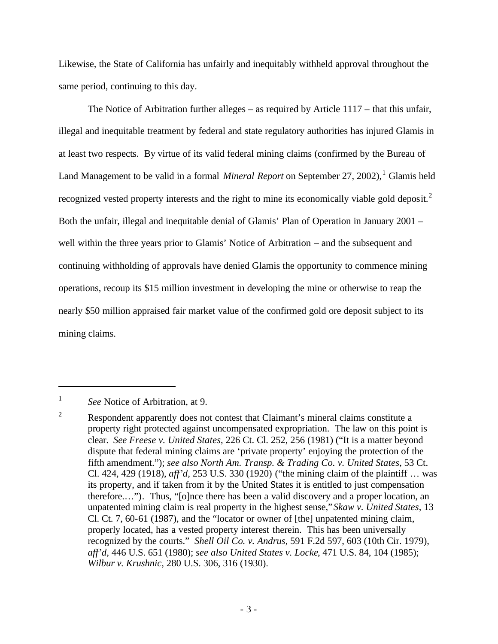Likewise, the State of California has unfairly and inequitably withheld approval throughout the same period, continuing to this day.

The Notice of Arbitration further alleges – as required by Article 1117 – that this unfair, illegal and inequitable treatment by federal and state regulatory authorities has injured Glamis in at least two respects. By virtue of its valid federal mining claims (confirmed by the Bureau of Land Management to be valid in a formal *Mineral Report* on September 27, 2002),<sup>1</sup> Glamis held recognized vested property interests and the right to mine its economically viable gold deposit.<sup>2</sup> Both the unfair, illegal and inequitable denial of Glamis' Plan of Operation in January 2001 – well within the three years prior to Glamis' Notice of Arbitration – and the subsequent and continuing withholding of approvals have denied Glamis the opportunity to commence mining operations, recoup its \$15 million investment in developing the mine or otherwise to reap the nearly \$50 million appraised fair market value of the confirmed gold ore deposit subject to its mining claims.

<sup>1</sup> *See* Notice of Arbitration, at 9.

<sup>&</sup>lt;sup>2</sup> Respondent apparently does not contest that Claimant's mineral claims constitute a property right protected against uncompensated expropriation. The law on this point is clear. *See Freese v. United States*, 226 Ct. Cl. 252, 256 (1981) ("It is a matter beyond dispute that federal mining claims are 'private property' enjoying the protection of the fifth amendment."); *see also North Am. Transp. & Trading Co. v. United States*, 53 Ct. Cl. 424, 429 (1918), *aff'd,* 253 U.S. 330 (1920) ("the mining claim of the plaintiff … was its property, and if taken from it by the United States it is entitled to just compensation therefore.…"). Thus, "[o]nce there has been a valid discovery and a proper location, an unpatented mining claim is real property in the highest sense,"*Skaw v. United States*, 13 Cl. Ct. 7, 60-61 (1987), and the "locator or owner of [the] unpatented mining claim, properly located, has a vested property interest therein. This has been universally recognized by the courts." *Shell Oil Co. v. Andrus*, 591 F.2d 597, 603 (10th Cir. 1979), *aff'd,* 446 U.S. 651 (1980); *see also United States v. Locke*, 471 U.S. 84, 104 (1985); *Wilbur v. Krushnic*, 280 U.S. 306, 316 (1930).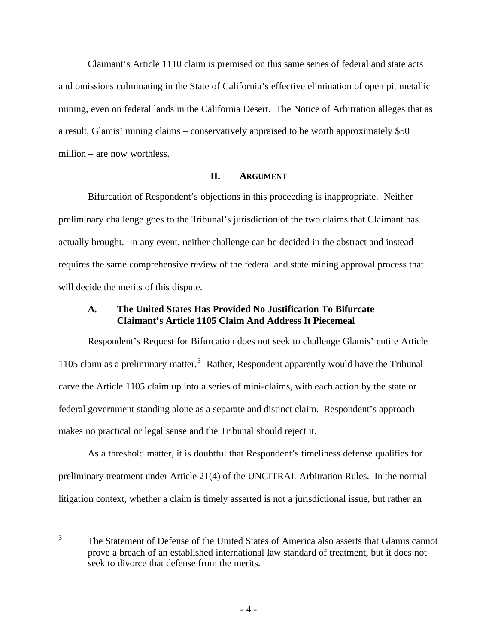Claimant's Article 1110 claim is premised on this same series of federal and state acts and omissions culminating in the State of California's effective elimination of open pit metallic mining, even on federal lands in the California Desert. The Notice of Arbitration alleges that as a result, Glamis' mining claims – conservatively appraised to be worth approximately \$50 million – are now worthless.

### **II. ARGUMENT**

Bifurcation of Respondent's objections in this proceeding is inappropriate. Neither preliminary challenge goes to the Tribunal's jurisdiction of the two claims that Claimant has actually brought. In any event, neither challenge can be decided in the abstract and instead requires the same comprehensive review of the federal and state mining approval process that will decide the merits of this dispute.

## **A. The United States Has Provided No Justification To Bifurcate Claimant's Article 1105 Claim And Address It Piecemeal**

Respondent's Request for Bifurcation does not seek to challenge Glamis' entire Article 1105 claim as a preliminary matter.<sup>3</sup> Rather, Respondent apparently would have the Tribunal carve the Article 1105 claim up into a series of mini-claims, with each action by the state or federal government standing alone as a separate and distinct claim. Respondent's approach makes no practical or legal sense and the Tribunal should reject it.

As a threshold matter, it is doubtful that Respondent's timeliness defense qualifies for preliminary treatment under Article 21(4) of the UNCITRAL Arbitration Rules. In the normal litigation context, whether a claim is timely asserted is not a jurisdictional issue, but rather an

<sup>&</sup>lt;sup>3</sup> The Statement of Defense of the United States of America also asserts that Glamis cannot prove a breach of an established international law standard of treatment, but it does not seek to divorce that defense from the merits.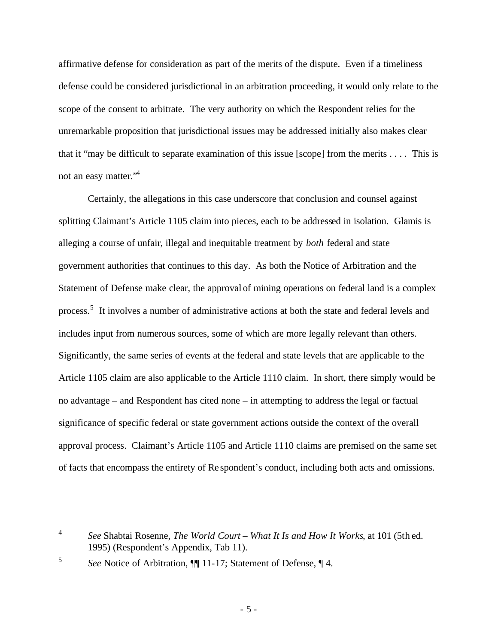affirmative defense for consideration as part of the merits of the dispute. Even if a timeliness defense could be considered jurisdictional in an arbitration proceeding, it would only relate to the scope of the consent to arbitrate. The very authority on which the Respondent relies for the unremarkable proposition that jurisdictional issues may be addressed initially also makes clear that it "may be difficult to separate examination of this issue [scope] from the merits . . . . This is not an easy matter."<sup>4</sup>

Certainly, the allegations in this case underscore that conclusion and counsel against splitting Claimant's Article 1105 claim into pieces, each to be addressed in isolation. Glamis is alleging a course of unfair, illegal and inequitable treatment by *both* federal and state government authorities that continues to this day. As both the Notice of Arbitration and the Statement of Defense make clear, the approval of mining operations on federal land is a complex process.<sup>5</sup> It involves a number of administrative actions at both the state and federal levels and includes input from numerous sources, some of which are more legally relevant than others. Significantly, the same series of events at the federal and state levels that are applicable to the Article 1105 claim are also applicable to the Article 1110 claim. In short, there simply would be no advantage – and Respondent has cited none – in attempting to address the legal or factual significance of specific federal or state government actions outside the context of the overall approval process. Claimant's Article 1105 and Article 1110 claims are premised on the same set of facts that encompass the entirety of Re spondent's conduct, including both acts and omissions.

<sup>4</sup> *See* Shabtai Rosenne, *The World Court – What It Is and How It Works*, at 101 (5th ed. 1995) (Respondent's Appendix, Tab 11).

<sup>5</sup> *See* Notice of Arbitration, ¶¶ 11-17; Statement of Defense, ¶ 4.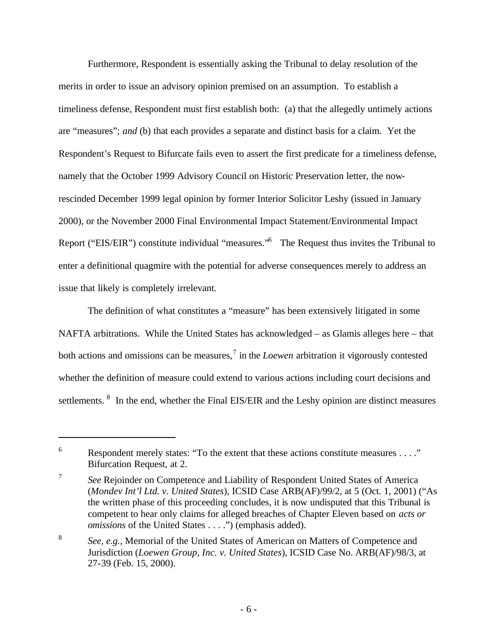Furthermore, Respondent is essentially asking the Tribunal to delay resolution of the merits in order to issue an advisory opinion premised on an assumption. To establish a timeliness defense, Respondent must first establish both: (a) that the allegedly untimely actions are "measures"; *and* (b) that each provides a separate and distinct basis for a claim. Yet the Respondent's Request to Bifurcate fails even to assert the first predicate for a timeliness defense, namely that the October 1999 Advisory Council on Historic Preservation letter, the nowrescinded December 1999 legal opinion by former Interior Solicitor Leshy (issued in January 2000), or the November 2000 Final Environmental Impact Statement/Environmental Impact Report ("EIS/EIR") constitute individual "measures."<sup>6</sup> The Request thus invites the Tribunal to enter a definitional quagmire with the potential for adverse consequences merely to address an issue that likely is completely irrelevant.

The definition of what constitutes a "measure" has been extensively litigated in some NAFTA arbitrations. While the United States has acknowledged – as Glamis alleges here – that both actions and omissions can be measures,<sup>7</sup> in the *Loewen* arbitration it vigorously contested whether the definition of measure could extend to various actions including court decisions and settlements.  $8\text{ In the end, whether the Final EIS/EIR and the Leshy opinion are distinct measures.}$ 

<sup>&</sup>lt;sup>6</sup> Respondent merely states: "To the extent that these actions constitute measures  $\dots$ ." Bifurcation Request, at 2.

<sup>7</sup> *See* Rejoinder on Competence and Liability of Respondent United States of America (*Mondev Int'l Ltd. v. United States*), ICSID Case ARB(AF)/99/2, at 5 (Oct. 1, 2001) ("As the written phase of this proceeding concludes, it is now undisputed that this Tribunal is competent to hear only claims for alleged breaches of Chapter Eleven based on *acts or omissions* of the United States . . . .") (emphasis added).

<sup>8</sup> *See, e.g.,* Memorial of the United States of American on Matters of Competence and Jurisdiction (*Loewen Group, Inc. v. United States*), ICSID Case No. ARB(AF)/98/3, at 27-39 (Feb. 15, 2000).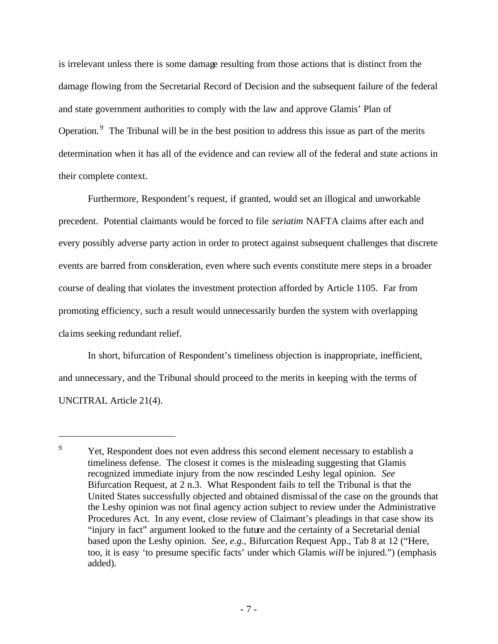is irrelevant unless there is some damage resulting from those actions that is distinct from the damage flowing from the Secretarial Record of Decision and the subsequent failure of the federal and state government authorities to comply with the law and approve Glamis' Plan of Operation.<sup>9</sup> The Tribunal will be in the best position to address this issue as part of the merits determination when it has all of the evidence and can review all of the federal and state actions in their complete context.

Furthermore, Respondent's request, if granted, would set an illogical and unworkable precedent. Potential claimants would be forced to file *seriatim* NAFTA claims after each and every possibly adverse party action in order to protect against subsequent challenges that discrete events are barred from consideration, even where such events constitute mere steps in a broader course of dealing that violates the investment protection afforded by Article 1105. Far from promoting efficiency, such a result would unnecessarily burden the system with overlapping claims seeking redundant relief.

In short, bifurcation of Respondent's timeliness objection is inappropriate, inefficient, and unnecessary, and the Tribunal should proceed to the merits in keeping with the terms of UNCITRAL Article 21(4).

<sup>&</sup>lt;sup>9</sup> Yet, Respondent does not even address this second element necessary to establish a timeliness defense. The closest it comes is the misleading suggesting that Glamis recognized immediate injury from the now rescinded Leshy legal opinion. *See* Bifurcation Request, at 2 n.3. What Respondent fails to tell the Tribunal is that the United States successfully objected and obtained dismissal of the case on the grounds that the Leshy opinion was not final agency action subject to review under the Administrative Procedures Act. In any event, close review of Claimant's pleadings in that case show its "injury in fact" argument looked to the future and the certainty of a Secretarial denial based upon the Leshy opinion. *See, e.g.,* Bifurcation Request App., Tab 8 at 12 ("Here, too, it is easy 'to presume specific facts' under which Glamis *will* be injured.") (emphasis added).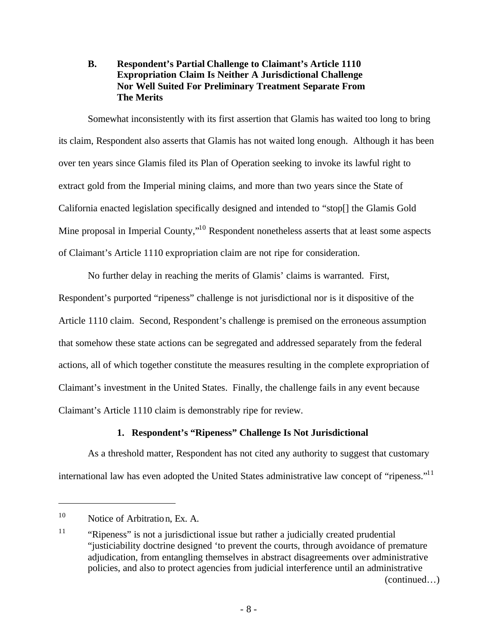## **B. Respondent's Partial Challenge to Claimant's Article 1110 Expropriation Claim Is Neither A Jurisdictional Challenge Nor Well Suited For Preliminary Treatment Separate From The Merits**

Somewhat inconsistently with its first assertion that Glamis has waited too long to bring its claim, Respondent also asserts that Glamis has not waited long enough. Although it has been over ten years since Glamis filed its Plan of Operation seeking to invoke its lawful right to extract gold from the Imperial mining claims, and more than two years since the State of California enacted legislation specifically designed and intended to "stop[] the Glamis Gold Mine proposal in Imperial County,"<sup>10</sup> Respondent nonetheless asserts that at least some aspects of Claimant's Article 1110 expropriation claim are not ripe for consideration.

No further delay in reaching the merits of Glamis' claims is warranted. First, Respondent's purported "ripeness" challenge is not jurisdictional nor is it dispositive of the Article 1110 claim. Second, Respondent's challenge is premised on the erroneous assumption that somehow these state actions can be segregated and addressed separately from the federal actions, all of which together constitute the measures resulting in the complete expropriation of Claimant's investment in the United States. Finally, the challenge fails in any event because Claimant's Article 1110 claim is demonstrably ripe for review.

## **1. Respondent's "Ripeness" Challenge Is Not Jurisdictional**

As a threshold matter, Respondent has not cited any authority to suggest that customary international law has even adopted the United States administrative law concept of "ripeness."<sup>11</sup>

<sup>&</sup>lt;sup>10</sup> Notice of Arbitration, Ex. A.

<sup>&</sup>lt;sup>11</sup> "Ripeness" is not a jurisdictional issue but rather a judicially created prudential "justiciability doctrine designed 'to prevent the courts, through avoidance of premature adjudication, from entangling themselves in abstract disagreements over administrative policies, and also to protect agencies from judicial interference until an administrative (continued…)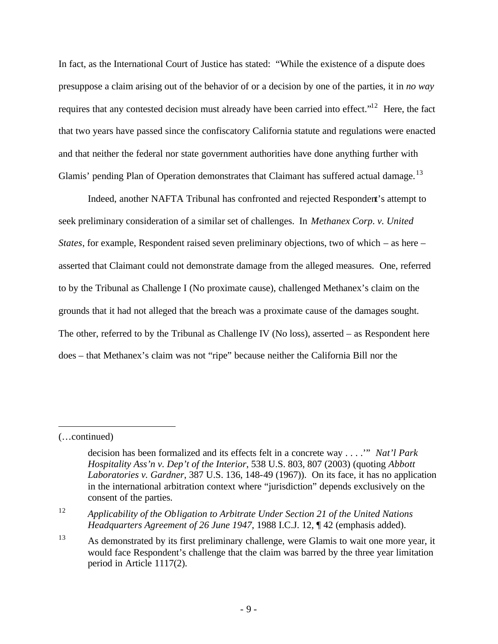In fact, as the International Court of Justice has stated: "While the existence of a dispute does presuppose a claim arising out of the behavior of or a decision by one of the parties, it in *no way* requires that any contested decision must already have been carried into effect."<sup>12</sup> Here, the fact that two years have passed since the confiscatory California statute and regulations were enacted and that neither the federal nor state government authorities have done anything further with Glamis' pending Plan of Operation demonstrates that Claimant has suffered actual damage.<sup>13</sup>

Indeed, another NAFTA Tribunal has confronted and rejected Respondent's attempt to seek preliminary consideration of a similar set of challenges. In *Methanex Corp. v. United States*, for example, Respondent raised seven preliminary objections, two of which – as here – asserted that Claimant could not demonstrate damage from the alleged measures. One, referred to by the Tribunal as Challenge I (No proximate cause), challenged Methanex's claim on the grounds that it had not alleged that the breach was a proximate cause of the damages sought. The other, referred to by the Tribunal as Challenge IV (No loss), asserted – as Respondent here does – that Methanex's claim was not "ripe" because neither the California Bill nor the

<sup>(…</sup>continued)

decision has been formalized and its effects felt in a concrete way . . . .'" *Nat'l Park Hospitality Ass'n v. Dep't of the Interior*, 538 U.S. 803, 807 (2003) (quoting *Abbott Laboratories v. Gardner*, 387 U.S. 136, 148-49 (1967)). On its face, it has no application in the international arbitration context where "jurisdiction" depends exclusively on the consent of the parties.

<sup>12</sup> *Applicability of the Obligation to Arbitrate Under Section 21 of the United Nations Headquarters Agreement of 26 June 1947*, 1988 I.C.J. 12, ¶ 42 (emphasis added).

<sup>&</sup>lt;sup>13</sup> As demonstrated by its first preliminary challenge, were Glamis to wait one more year, it would face Respondent's challenge that the claim was barred by the three year limitation period in Article 1117(2).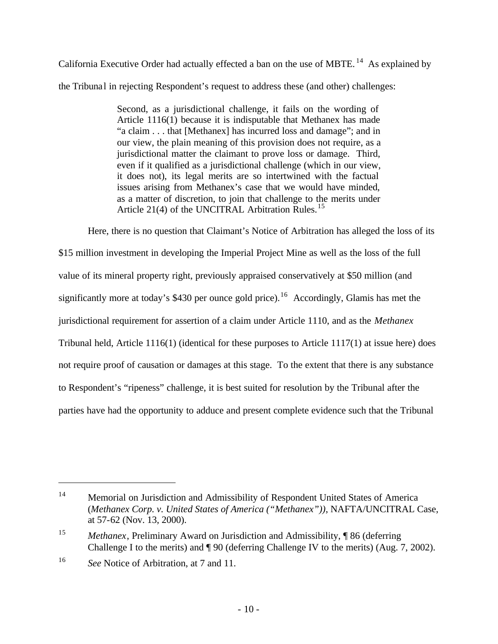California Executive Order had actually effected a ban on the use of MBTE. <sup>14</sup> As explained by the Tribuna l in rejecting Respondent's request to address these (and other) challenges:

> Second, as a jurisdictional challenge, it fails on the wording of Article 1116(1) because it is indisputable that Methanex has made "a claim . . . that [Methanex] has incurred loss and damage"; and in our view, the plain meaning of this provision does not require, as a jurisdictional matter the claimant to prove loss or damage. Third, even if it qualified as a jurisdictional challenge (which in our view, it does not), its legal merits are so intertwined with the factual issues arising from Methanex's case that we would have minded, as a matter of discretion, to join that challenge to the merits under Article 21(4) of the UNCITRAL Arbitration Rules.<sup>15</sup>

Here, there is no question that Claimant's Notice of Arbitration has alleged the loss of its \$15 million investment in developing the Imperial Project Mine as well as the loss of the full value of its mineral property right, previously appraised conservatively at \$50 million (and significantly more at today's \$430 per ounce gold price).<sup>16</sup> Accordingly, Glamis has met the jurisdictional requirement for assertion of a claim under Article 1110, and as the *Methanex*  Tribunal held, Article 1116(1) (identical for these purposes to Article 1117(1) at issue here) does not require proof of causation or damages at this stage. To the extent that there is any substance to Respondent's "ripeness" challenge, it is best suited for resolution by the Tribunal after the parties have had the opportunity to adduce and present complete evidence such that the Tribunal

<sup>14</sup> Memorial on Jurisdiction and Admissibility of Respondent United States of America (*Methanex Corp. v. United States of America ("Methanex"))*, NAFTA/UNCITRAL Case, at 57-62 (Nov. 13, 2000).

<sup>15</sup> *Methanex*, Preliminary Award on Jurisdiction and Admissibility, ¶ 86 (deferring Challenge I to the merits) and ¶ 90 (deferring Challenge IV to the merits) (Aug. 7, 2002).

<sup>16</sup> *See* Notice of Arbitration, at 7 and 11.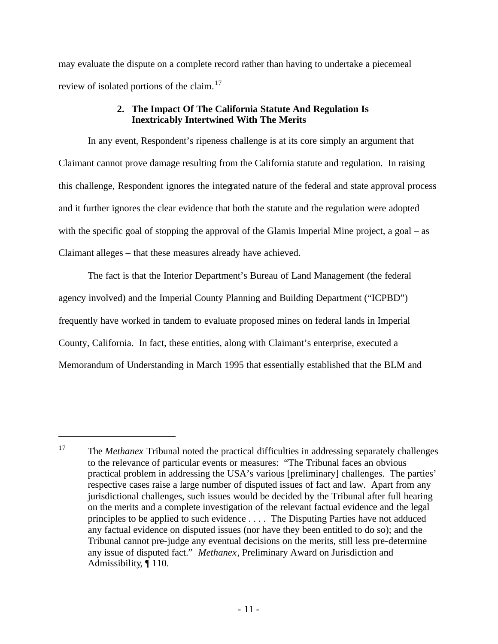may evaluate the dispute on a complete record rather than having to undertake a piecemeal review of isolated portions of the claim.<sup>17</sup>

## **2. The Impact Of The California Statute And Regulation Is Inextricably Intertwined With The Merits**

In any event, Respondent's ripeness challenge is at its core simply an argument that Claimant cannot prove damage resulting from the California statute and regulation. In raising this challenge, Respondent ignores the integrated nature of the federal and state approval process and it further ignores the clear evidence that both the statute and the regulation were adopted with the specific goal of stopping the approval of the Glamis Imperial Mine project, a goal – as Claimant alleges – that these measures already have achieved.

The fact is that the Interior Department's Bureau of Land Management (the federal agency involved) and the Imperial County Planning and Building Department ("ICPBD") frequently have worked in tandem to evaluate proposed mines on federal lands in Imperial County, California. In fact, these entities, along with Claimant's enterprise, executed a Memorandum of Understanding in March 1995 that essentially established that the BLM and

<sup>&</sup>lt;sup>17</sup> The *Methanex* Tribunal noted the practical difficulties in addressing separately challenges to the relevance of particular events or measures: "The Tribunal faces an obvious practical problem in addressing the USA's various [preliminary] challenges. The parties' respective cases raise a large number of disputed issues of fact and law. Apart from any jurisdictional challenges, such issues would be decided by the Tribunal after full hearing on the merits and a complete investigation of the relevant factual evidence and the legal principles to be applied to such evidence . . . . The Disputing Parties have not adduced any factual evidence on disputed issues (nor have they been entitled to do so); and the Tribunal cannot pre-judge any eventual decisions on the merits, still less pre-determine any issue of disputed fact." *Methanex*, Preliminary Award on Jurisdiction and Admissibility*,* ¶ 110.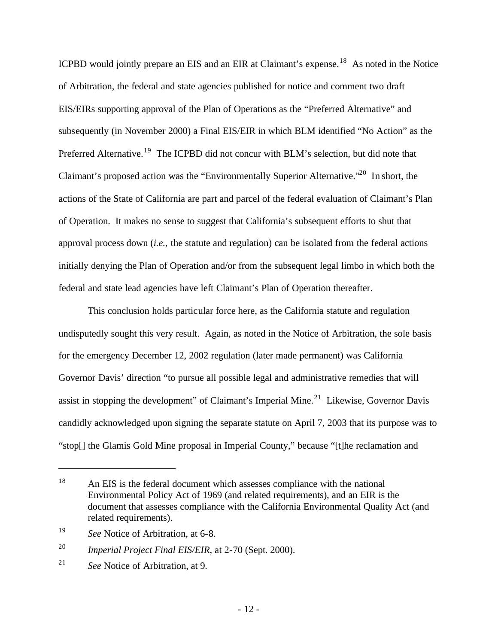ICPBD would jointly prepare an EIS and an EIR at Claimant's expense.<sup>18</sup> As noted in the Notice of Arbitration, the federal and state agencies published for notice and comment two draft EIS/EIRs supporting approval of the Plan of Operations as the "Preferred Alternative" and subsequently (in November 2000) a Final EIS/EIR in which BLM identified "No Action" as the Preferred Alternative.<sup>19</sup> The ICPBD did not concur with BLM's selection, but did note that Claimant's proposed action was the "Environmentally Superior Alternative."<sup>20</sup> In short, the actions of the State of California are part and parcel of the federal evaluation of Claimant's Plan of Operation. It makes no sense to suggest that California's subsequent efforts to shut that approval process down (*i.e.,* the statute and regulation) can be isolated from the federal actions initially denying the Plan of Operation and/or from the subsequent legal limbo in which both the federal and state lead agencies have left Claimant's Plan of Operation thereafter.

This conclusion holds particular force here, as the California statute and regulation undisputedly sought this very result. Again, as noted in the Notice of Arbitration, the sole basis for the emergency December 12, 2002 regulation (later made permanent) was California Governor Davis' direction "to pursue all possible legal and administrative remedies that will assist in stopping the development" of Claimant's Imperial Mine.<sup>21</sup> Likewise, Governor Davis candidly acknowledged upon signing the separate statute on April 7, 2003 that its purpose was to "stop[] the Glamis Gold Mine proposal in Imperial County," because "[t]he reclamation and

<sup>&</sup>lt;sup>18</sup> An EIS is the federal document which assesses compliance with the national Environmental Policy Act of 1969 (and related requirements), and an EIR is the document that assesses compliance with the California Environmental Quality Act (and related requirements).

<sup>19</sup> *See* Notice of Arbitration, at 6-8.

<sup>20</sup> *Imperial Project Final EIS/EIR*, at 2-70 (Sept. 2000).

<sup>21</sup> *See* Notice of Arbitration, at 9.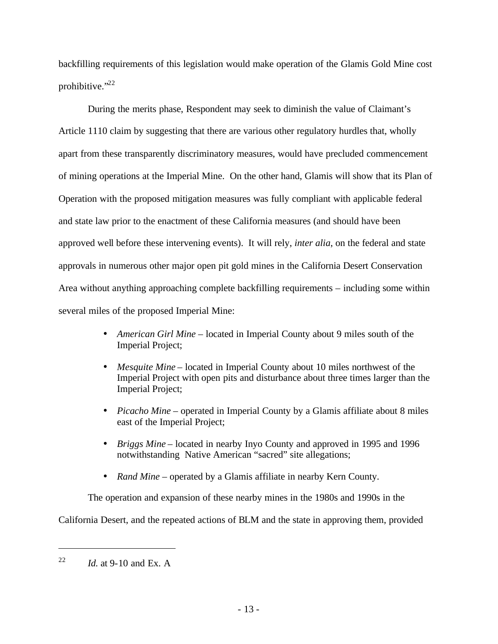backfilling requirements of this legislation would make operation of the Glamis Gold Mine cost prohibitive."<sup>22</sup>

During the merits phase, Respondent may seek to diminish the value of Claimant's Article 1110 claim by suggesting that there are various other regulatory hurdles that, wholly apart from these transparently discriminatory measures, would have precluded commencement of mining operations at the Imperial Mine. On the other hand, Glamis will show that its Plan of Operation with the proposed mitigation measures was fully compliant with applicable federal and state law prior to the enactment of these California measures (and should have been approved well before these intervening events). It will rely, *inter alia*, on the federal and state approvals in numerous other major open pit gold mines in the California Desert Conservation Area without anything approaching complete backfilling requirements – including some within several miles of the proposed Imperial Mine:

- *American Girl Mine* located in Imperial County about 9 miles south of the Imperial Project;
- *Mesquite Mine* located in Imperial County about 10 miles northwest of the Imperial Project with open pits and disturbance about three times larger than the Imperial Project;
- *Picacho Mine* operated in Imperial County by a Glamis affiliate about 8 miles east of the Imperial Project;
- *Briggs Mine* located in nearby Inyo County and approved in 1995 and 1996 notwithstanding Native American "sacred" site allegations;
- *Rand Mine* operated by a Glamis affiliate in nearby Kern County.

The operation and expansion of these nearby mines in the 1980s and 1990s in the

California Desert, and the repeated actions of BLM and the state in approving them, provided

<sup>&</sup>lt;sup>22</sup> *Id.* at 9-10 and Ex. A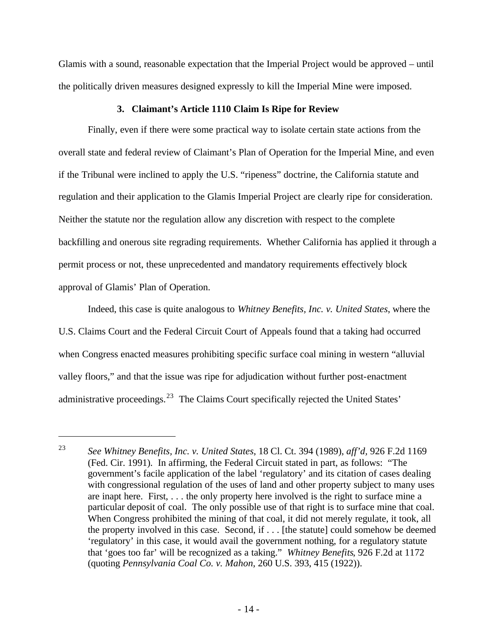Glamis with a sound, reasonable expectation that the Imperial Project would be approved – until the politically driven measures designed expressly to kill the Imperial Mine were imposed.

#### **3. Claimant's Article 1110 Claim Is Ripe for Review**

Finally, even if there were some practical way to isolate certain state actions from the overall state and federal review of Claimant's Plan of Operation for the Imperial Mine, and even if the Tribunal were inclined to apply the U.S. "ripeness" doctrine, the California statute and regulation and their application to the Glamis Imperial Project are clearly ripe for consideration. Neither the statute nor the regulation allow any discretion with respect to the complete backfilling and onerous site regrading requirements. Whether California has applied it through a permit process or not, these unprecedented and mandatory requirements effectively block approval of Glamis' Plan of Operation.

Indeed, this case is quite analogous to *Whitney Benefits, Inc. v. United States*, where the U.S. Claims Court and the Federal Circuit Court of Appeals found that a taking had occurred when Congress enacted measures prohibiting specific surface coal mining in western "alluvial valley floors," and that the issue was ripe for adjudication without further post-enactment administrative proceedings. $^{23}$  The Claims Court specifically rejected the United States'

<sup>23</sup> *See Whitney Benefits, Inc. v. United States*, 18 Cl. Ct. 394 (1989), *aff'd,* 926 F.2d 1169 (Fed. Cir. 1991). In affirming, the Federal Circuit stated in part, as follows: "The government's facile application of the label 'regulatory' and its citation of cases dealing with congressional regulation of the uses of land and other property subject to many uses are inapt here. First, . . . the only property here involved is the right to surface mine a particular deposit of coal. The only possible use of that right is to surface mine that coal. When Congress prohibited the mining of that coal, it did not merely regulate, it took, all the property involved in this case. Second, if . . . [the statute] could somehow be deemed 'regulatory' in this case, it would avail the government nothing, for a regulatory statute that 'goes too far' will be recognized as a taking." *Whitney Benefits*, 926 F.2d at 1172 (quoting *Pennsylvania Coal Co. v. Mahon*, 260 U.S. 393, 415 (1922)).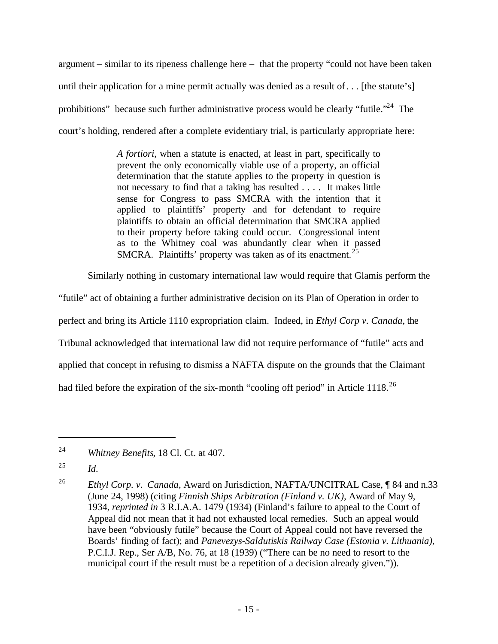argument – similar to its ripeness challenge here – that the property "could not have been taken until their application for a mine permit actually was denied as a result of. . . [the statute's] prohibitions" because such further administrative process would be clearly "futile."<sup>24</sup> The court's holding, rendered after a complete evidentiary trial, is particularly appropriate here:

> *A fortiori*, when a statute is enacted, at least in part, specifically to prevent the only economically viable use of a property, an official determination that the statute applies to the property in question is not necessary to find that a taking has resulted . . . . It makes little sense for Congress to pass SMCRA with the intention that it applied to plaintiffs' property and for defendant to require plaintiffs to obtain an official determination that SMCRA applied to their property before taking could occur. Congressional intent as to the Whitney coal was abundantly clear when it passed SMCRA. Plaintiffs' property was taken as of its enactment.<sup>25</sup>

Similarly nothing in customary international law would require that Glamis perform the

"futile" act of obtaining a further administrative decision on its Plan of Operation in order to perfect and bring its Article 1110 expropriation claim. Indeed, in *Ethyl Corp v. Canada*, the Tribunal acknowledged that international law did not require performance of "futile" acts and applied that concept in refusing to dismiss a NAFTA dispute on the grounds that the Claimant had filed before the expiration of the six-month "cooling off period" in Article 1118.<sup>26</sup>

<sup>24</sup> *Whitney Benefits*, 18 Cl. Ct. at 407.

<sup>25</sup> *Id*.

<sup>26</sup> *Ethyl Corp. v. Canada*, Award on Jurisdiction, NAFTA/UNCITRAL Case, ¶ 84 and n.33 (June 24, 1998) (citing *Finnish Ships Arbitration (Finland v. UK),* Award of May 9, 1934*, reprinted in* 3 R.I.A.A. 1479 (1934) (Finland's failure to appeal to the Court of Appeal did not mean that it had not exhausted local remedies. Such an appeal would have been "obviously futile" because the Court of Appeal could not have reversed the Boards' finding of fact); and *Panevezys-Saldutiskis Railway Case (Estonia v. Lithuania)*, P.C.I.J. Rep., Ser A/B, No. 76, at 18 (1939) ("There can be no need to resort to the municipal court if the result must be a repetition of a decision already given.")).